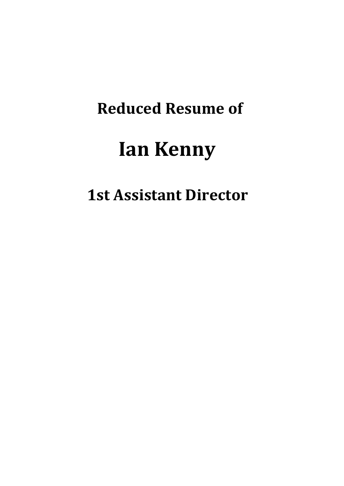# **Reduced Resume of**

# **Ian Kenny**

# **1st Assistant Director**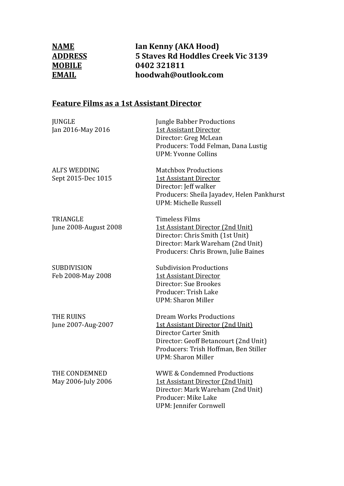**NAME Ian Kenny (AKA Hood)**<br> **ADDRESS** 5 Staves Rd Hoddles Cr **ADDRESS** 5 Staves Rd Hoddles Creek Vic 3139<br> **MOBILE** 0402 321811 **MOBILE** 0402 321811<br> **EMAIL** hoodwah@ou **EMAIL hoodwah@outlook.com** 

#### **Feature Films as a 1st Assistant Director**

| <b>JUNGLE</b><br>Jan 2016-May 2016         | <b>Jungle Babber Productions</b><br><b>1st Assistant Director</b><br>Director: Greg McLean<br>Producers: Todd Felman, Dana Lustig<br><b>UPM: Yvonne Collins</b>                                             |
|--------------------------------------------|-------------------------------------------------------------------------------------------------------------------------------------------------------------------------------------------------------------|
| <b>ALI'S WEDDING</b><br>Sept 2015-Dec 1015 | <b>Matchbox Productions</b><br><b>1st Assistant Director</b><br>Director: Jeff walker<br>Producers: Sheila Jayadev, Helen Pankhurst<br>UPM: Michelle Russell                                                |
| <b>TRIANGLE</b><br>June 2008-August 2008   | <b>Timeless Films</b><br><b>1st Assistant Director (2nd Unit)</b><br>Director: Chris Smith (1st Unit)<br>Director: Mark Wareham (2nd Unit)<br>Producers: Chris Brown, Julie Baines                          |
| <b>SUBDIVISION</b><br>Feb 2008-May 2008    | <b>Subdivision Productions</b><br>1st Assistant Director<br>Director: Sue Brookes<br>Producer: Trish Lake<br><b>UPM: Sharon Miller</b>                                                                      |
| <b>THE RUINS</b><br>June 2007-Aug-2007     | <b>Dream Works Productions</b><br>1st Assistant Director (2nd Unit)<br>Director Carter Smith<br>Director: Geoff Betancourt (2nd Unit)<br>Producers: Trish Hoffman, Ben Stiller<br><b>UPM: Sharon Miller</b> |
| THE CONDEMNED<br>May 2006-July 2006        | <b>WWE &amp; Condemned Productions</b><br>1st Assistant Director (2nd Unit)<br>Director: Mark Wareham (2nd Unit)<br>Producer: Mike Lake<br><b>UPM: Jennifer Cornwell</b>                                    |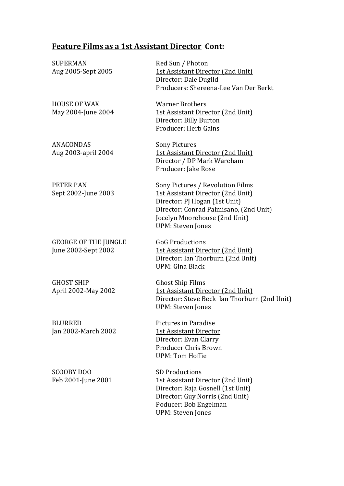### **Feature Films as a 1st Assistant Director Cont:**

| <b>SUPERMAN</b><br>Aug 2005-Sept 2005              | Red Sun / Photon<br><b>1st Assistant Director (2nd Unit)</b><br>Director: Dale Dugild<br>Producers: Shereena-Lee Van Der Berkt                                                                                |
|----------------------------------------------------|---------------------------------------------------------------------------------------------------------------------------------------------------------------------------------------------------------------|
| <b>HOUSE OF WAX</b><br>May 2004-June 2004          | <b>Warner Brothers</b><br>1st Assistant Director (2nd Unit)<br>Director: Billy Burton<br>Producer: Herb Gains                                                                                                 |
| <b>ANACONDAS</b><br>Aug 2003-april 2004            | <b>Sony Pictures</b><br><b>1st Assistant Director (2nd Unit)</b><br>Director / DP Mark Wareham<br>Producer: Jake Rose                                                                                         |
| <b>PETER PAN</b><br>Sept 2002-June 2003            | Sony Pictures / Revolution Films<br>1st Assistant Director (2nd Unit)<br>Director: PJ Hogan (1st Unit)<br>Director: Conrad Palmisano, (2nd Unit)<br>Jocelyn Moorehouse (2nd Unit)<br><b>UPM: Steven Jones</b> |
| <b>GEORGE OF THE JUNGLE</b><br>June 2002-Sept 2002 | <b>GoG Productions</b><br>1st Assistant Director (2nd Unit)<br>Director: Ian Thorburn (2nd Unit)<br>UPM: Gina Black                                                                                           |
| <b>GHOST SHIP</b><br>April 2002-May 2002           | <b>Ghost Ship Films</b><br><b>1st Assistant Director (2nd Unit)</b><br>Director: Steve Beck Ian Thorburn (2nd Unit)<br><b>UPM: Steven Jones</b>                                                               |
| <b>BLURRED</b><br>Jan 2002-March 2002              | Pictures in Paradise<br><b>1st Assistant Director</b><br>Director: Evan Clarry<br><b>Producer Chris Brown</b><br><b>UPM: Tom Hoffie</b>                                                                       |
| SCOOBY DOO<br>Feb 2001-June 2001                   | <b>SD Productions</b><br>1st Assistant Director (2nd Unit)<br>Director: Raja Gosnell (1st Unit)<br>Director: Guy Norris (2nd Unit)                                                                            |

 Poducer: Bob Engelman UPM: Steven Jones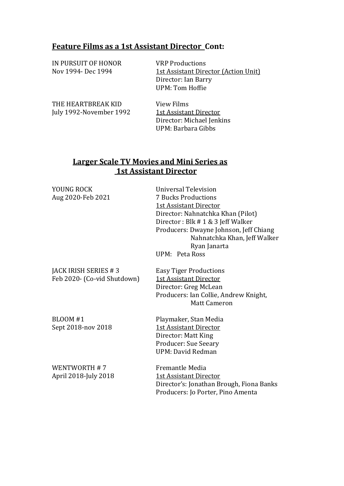#### **Feature Films as a 1st Assistant Director Cont:**

| IN PURSUIT OF HONOR<br>Nov 1994- Dec 1994     | <b>VRP Productions</b><br><b>1st Assistant Director (Action Unit)</b><br>Director: Ian Barry<br>UPM: Tom Hoffie |
|-----------------------------------------------|-----------------------------------------------------------------------------------------------------------------|
| THE HEARTBREAK KID<br>July 1992-November 1992 | View Films<br>1st Assistant Director<br>Director: Michael Jenkins<br>UPM: Barbara Gibbs                         |

#### **Larger Scale TV Movies and Mini Series as 1st Assistant Director**

| YOUNG ROCK<br>Aug 2020-Feb 2021                     | <b>Universal Television</b><br><b>7 Bucks Productions</b><br><b>1st Assistant Director</b><br>Director: Nahnatchka Khan (Pilot)<br>Director: Blk # 1 & 3 Jeff Walker<br>Producers: Dwayne Johnson, Jeff Chiang<br>Nahnatchka Khan, Jeff Walker<br>Ryan Janarta<br>UPM: Peta Ross |
|-----------------------------------------------------|----------------------------------------------------------------------------------------------------------------------------------------------------------------------------------------------------------------------------------------------------------------------------------|
| JACK IRISH SERIES #3<br>Feb 2020- (Co-vid Shutdown) | <b>Easy Tiger Productions</b><br>1st Assistant Director<br>Director: Greg McLean<br>Producers: Ian Collie, Andrew Knight,<br><b>Matt Cameron</b>                                                                                                                                 |
| <b>BLOOM #1</b><br>Sept 2018-nov 2018               | Playmaker, Stan Media<br><b>1st Assistant Director</b><br>Director: Matt King<br><b>Producer: Sue Seeary</b><br>UPM: David Redman                                                                                                                                                |
| WENTWORTH #7<br>April 2018-July 2018                | Fremantle Media<br><b>1st Assistant Director</b><br>Director's: Jonathan Brough, Fiona Banks<br>Producers: Jo Porter, Pino Amenta                                                                                                                                                |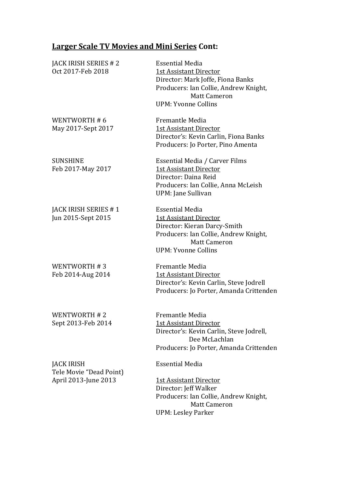## **Larger Scale TV Movies and Mini Series Cont:**

| JACK IRISH SERIES # 2<br>Oct 2017-Feb 2018                           | <b>Essential Media</b><br><b>1st Assistant Director</b><br>Director: Mark Joffe, Fiona Banks<br>Producers: Ian Collie, Andrew Knight,<br><b>Matt Cameron</b><br><b>UPM: Yvonne Collins</b> |
|----------------------------------------------------------------------|--------------------------------------------------------------------------------------------------------------------------------------------------------------------------------------------|
| WENTWORTH #6<br>May 2017-Sept 2017                                   | Fremantle Media<br><b>1st Assistant Director</b><br>Director's: Kevin Carlin, Fiona Banks<br>Producers: Jo Porter, Pino Amenta                                                             |
| <b>SUNSHINE</b><br>Feb 2017-May 2017                                 | Essential Media / Carver Films<br><b>1st Assistant Director</b><br>Director: Daina Reid<br>Producers: Ian Collie, Anna McLeish<br>UPM: Jane Sullivan                                       |
| JACK IRISH SERIES #1<br>Jun 2015-Sept 2015                           | <b>Essential Media</b><br><b>1st Assistant Director</b><br>Director: Kieran Darcy-Smith<br>Producers: Ian Collie, Andrew Knight,<br><b>Matt Cameron</b><br><b>UPM: Yvonne Collins</b>      |
| WENTWORTH #3<br>Feb 2014-Aug 2014                                    | Fremantle Media<br><b>1st Assistant Director</b><br>Director's: Kevin Carlin, Steve Jodrell<br>Producers: Jo Porter, Amanda Crittenden                                                     |
| WENTWORTH #2<br>Sept 2013-Feb 2014                                   | Fremantle Media<br><b>1st Assistant Director</b><br>Director's: Kevin Carlin, Steve Jodrell,<br>Dee McLachlan<br>Producers: Jo Porter, Amanda Crittenden                                   |
| <b>JACK IRISH</b><br>Tele Movie "Dead Point)<br>April 2013-June 2013 | <b>Essential Media</b><br><b>1st Assistant Director</b><br>Director: Jeff Walker<br>Producers: Ian Collie, Andrew Knight,<br><b>Matt Cameron</b><br><b>UPM: Lesley Parker</b>              |